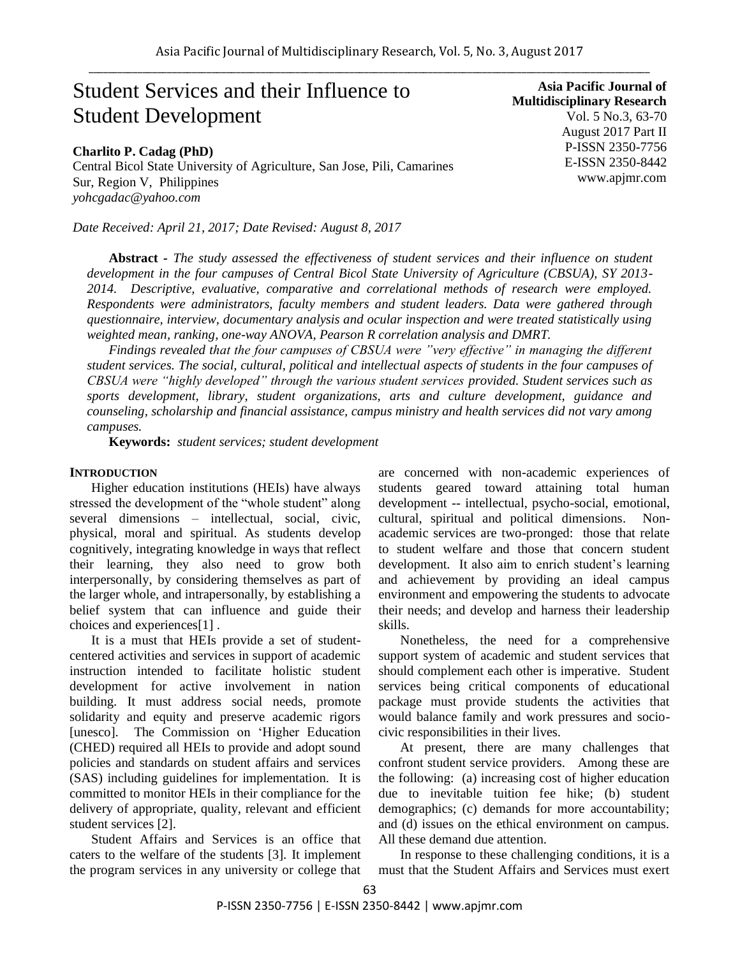# Student Services and their Influence to Student Development

**Charlito P. Cadag (PhD)**

Central Bicol State University of Agriculture, San Jose, Pili, Camarines Sur, Region V, Philippines *yohcgadac@yahoo.com*

*Date Received: April 21, 2017; Date Revised: August 8, 2017*

**Abstract** *- The study assessed the effectiveness of student services and their influence on student development in the four campuses of Central Bicol State University of Agriculture (CBSUA), SY 2013- 2014. Descriptive, evaluative, comparative and correlational methods of research were employed. Respondents were administrators, faculty members and student leaders. Data were gathered through questionnaire, interview, documentary analysis and ocular inspection and were treated statistically using weighted mean, ranking, one-way ANOVA, Pearson R correlation analysis and DMRT.*

*Findings revealed that the four campuses of CBSUA were "very effective" in managing the different student services. The social, cultural, political and intellectual aspects of students in the four campuses of CBSUA were "highly developed" through the various student services provided. Student services such as sports development, library, student organizations, arts and culture development, guidance and counseling, scholarship and financial assistance, campus ministry and health services did not vary among campuses.*

**Keywords:** *student services; student development*

#### **INTRODUCTION**

Higher education institutions (HEIs) have always stressed the development of the "whole student" along several dimensions – intellectual, social, civic, physical, moral and spiritual. As students develop cognitively, integrating knowledge in ways that reflect their learning, they also need to grow both interpersonally, by considering themselves as part of the larger whole, and intrapersonally, by establishing a belief system that can influence and guide their choices and experiences[1] .

It is a must that HEIs provide a set of studentcentered activities and services in support of academic instruction intended to facilitate holistic student development for active involvement in nation building. It must address social needs, promote solidarity and equity and preserve academic rigors [unesco]. The Commission on "Higher Education (CHED) required all HEIs to provide and adopt sound policies and standards on student affairs and services (SAS) including guidelines for implementation. It is committed to monitor HEIs in their compliance for the delivery of appropriate, quality, relevant and efficient student services [2].

Student Affairs and Services is an office that caters to the welfare of the students [3]. It implement the program services in any university or college that are concerned with non-academic experiences of students geared toward attaining total human development -- intellectual, psycho-social, emotional, cultural, spiritual and political dimensions. Nonacademic services are two-pronged: those that relate to student welfare and those that concern student development. It also aim to enrich student's learning and achievement by providing an ideal campus environment and empowering the students to advocate their needs; and develop and harness their leadership skills.

Nonetheless, the need for a comprehensive support system of academic and student services that should complement each other is imperative. Student services being critical components of educational package must provide students the activities that would balance family and work pressures and sociocivic responsibilities in their lives.

At present, there are many challenges that confront student service providers. Among these are the following: (a) increasing cost of higher education due to inevitable tuition fee hike; (b) student demographics; (c) demands for more accountability; and (d) issues on the ethical environment on campus. All these demand due attention.

In response to these challenging conditions, it is a must that the Student Affairs and Services must exert

**Asia Pacific Journal of Multidisciplinary Research** Vol. 5 No.3, 63-70 August 2017 Part II P-ISSN 2350-7756 E-ISSN 2350-8442 www.apjmr.com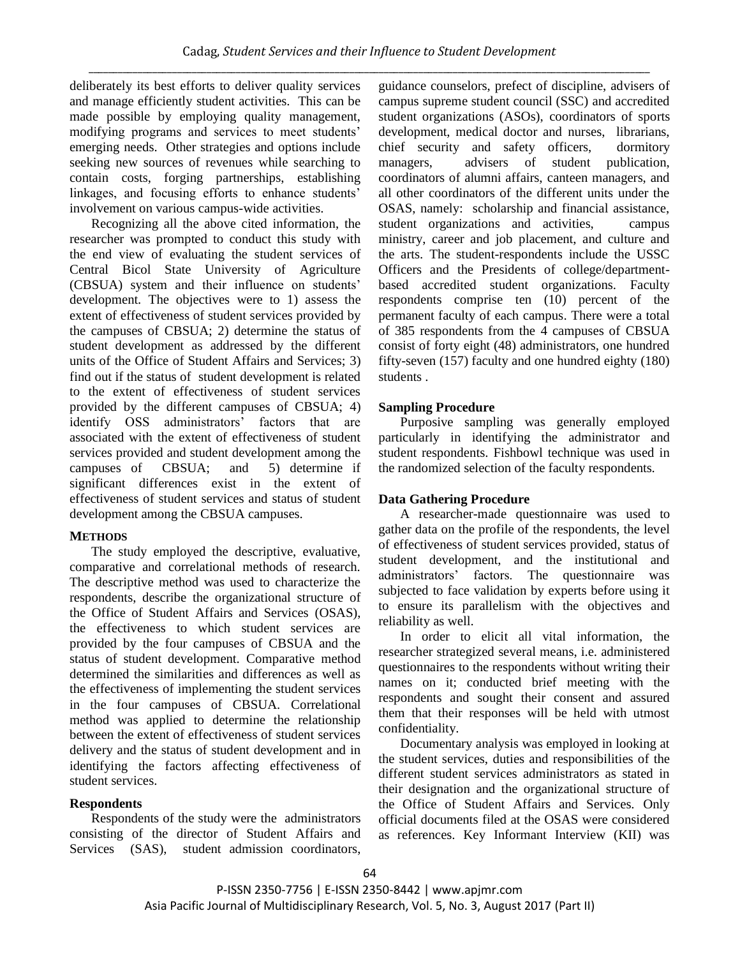deliberately its best efforts to deliver quality services and manage efficiently student activities. This can be made possible by employing quality management, modifying programs and services to meet students" emerging needs. Other strategies and options include seeking new sources of revenues while searching to contain costs, forging partnerships, establishing linkages, and focusing efforts to enhance students' involvement on various campus-wide activities.

Recognizing all the above cited information, the researcher was prompted to conduct this study with the end view of evaluating the student services of Central Bicol State University of Agriculture (CBSUA) system and their influence on students" development. The objectives were to 1) assess the extent of effectiveness of student services provided by the campuses of CBSUA; 2) determine the status of student development as addressed by the different units of the Office of Student Affairs and Services; 3) find out if the status of student development is related to the extent of effectiveness of student services provided by the different campuses of CBSUA; 4) identify OSS administrators' factors that are associated with the extent of effectiveness of student services provided and student development among the campuses of CBSUA; and 5) determine if significant differences exist in the extent of effectiveness of student services and status of student development among the CBSUA campuses.

# **METHODS**

The study employed the descriptive, evaluative, comparative and correlational methods of research. The descriptive method was used to characterize the respondents, describe the organizational structure of the Office of Student Affairs and Services (OSAS), the effectiveness to which student services are provided by the four campuses of CBSUA and the status of student development. Comparative method determined the similarities and differences as well as the effectiveness of implementing the student services in the four campuses of CBSUA. Correlational method was applied to determine the relationship between the extent of effectiveness of student services delivery and the status of student development and in identifying the factors affecting effectiveness of student services.

# **Respondents**

Respondents of the study were the administrators consisting of the director of Student Affairs and Services (SAS), student admission coordinators,

guidance counselors, prefect of discipline, advisers of campus supreme student council (SSC) and accredited student organizations (ASOs), coordinators of sports development, medical doctor and nurses, librarians, chief security and safety officers, dormitory managers, advisers of student publication, coordinators of alumni affairs, canteen managers, and all other coordinators of the different units under the OSAS, namely: scholarship and financial assistance, student organizations and activities, campus ministry, career and job placement, and culture and the arts. The student-respondents include the USSC Officers and the Presidents of college/departmentbased accredited student organizations. Faculty respondents comprise ten (10) percent of the permanent faculty of each campus. There were a total of 385 respondents from the 4 campuses of CBSUA consist of forty eight (48) administrators, one hundred fifty-seven (157) faculty and one hundred eighty (180) students .

# **Sampling Procedure**

Purposive sampling was generally employed particularly in identifying the administrator and student respondents. Fishbowl technique was used in the randomized selection of the faculty respondents.

# **Data Gathering Procedure**

A researcher-made questionnaire was used to gather data on the profile of the respondents, the level of effectiveness of student services provided, status of student development, and the institutional and administrators" factors. The questionnaire was subjected to face validation by experts before using it to ensure its parallelism with the objectives and reliability as well.

In order to elicit all vital information, the researcher strategized several means, i.e. administered questionnaires to the respondents without writing their names on it; conducted brief meeting with the respondents and sought their consent and assured them that their responses will be held with utmost confidentiality.

Documentary analysis was employed in looking at the student services, duties and responsibilities of the different student services administrators as stated in their designation and the organizational structure of the Office of Student Affairs and Services. Only official documents filed at the OSAS were considered as references. Key Informant Interview (KII) was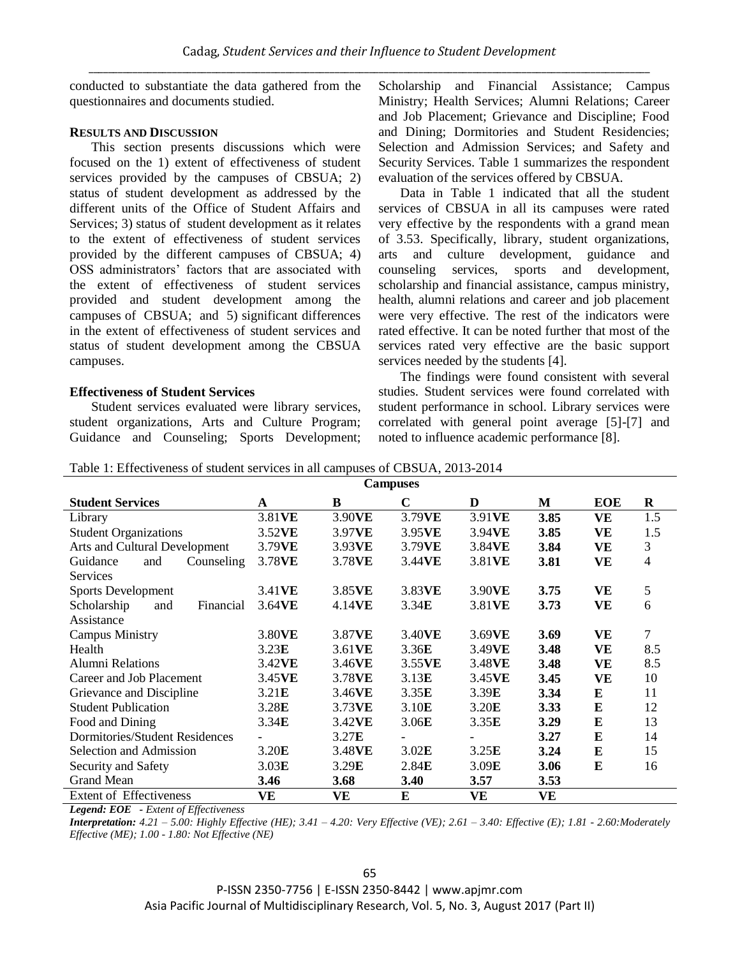conducted to substantiate the data gathered from the questionnaires and documents studied.

### **RESULTS AND DISCUSSION**

This section presents discussions which were focused on the 1) extent of effectiveness of student services provided by the campuses of CBSUA; 2) status of student development as addressed by the different units of the Office of Student Affairs and Services; 3) status of student development as it relates to the extent of effectiveness of student services provided by the different campuses of CBSUA; 4) OSS administrators" factors that are associated with the extent of effectiveness of student services provided and student development among the campuses of CBSUA; and 5) significant differences in the extent of effectiveness of student services and status of student development among the CBSUA campuses.

## **Effectiveness of Student Services**

Student services evaluated were library services, student organizations, Arts and Culture Program; Guidance and Counseling; Sports Development; Scholarship and Financial Assistance; Campus Ministry; Health Services; Alumni Relations; Career and Job Placement; Grievance and Discipline; Food and Dining; Dormitories and Student Residencies; Selection and Admission Services; and Safety and Security Services. Table 1 summarizes the respondent evaluation of the services offered by CBSUA.

Data in Table 1 indicated that all the student services of CBSUA in all its campuses were rated very effective by the respondents with a grand mean of 3.53. Specifically, library, student organizations, arts and culture development, guidance and counseling services, sports and development, scholarship and financial assistance, campus ministry, health, alumni relations and career and job placement were very effective. The rest of the indicators were rated effective. It can be noted further that most of the services rated very effective are the basic support services needed by the students [4].

The findings were found consistent with several studies. Student services were found correlated with student performance in school. Library services were correlated with general point average [5]-[7] and noted to influence academic performance [8].

| Table 1: Effectiveness of student services in all campuses of CBSUA, 2013-2014 |  |  |  |
|--------------------------------------------------------------------------------|--|--|--|
|                                                                                |  |  |  |
|                                                                                |  |  |  |

| <b>Campuses</b>                 |           |        |                   |        |             |            |                |
|---------------------------------|-----------|--------|-------------------|--------|-------------|------------|----------------|
| <b>Student Services</b>         | A         | B      | $\mathbf C$       | D      | М           | <b>EOE</b> | R              |
| Library                         | 3.81VE    | 3.90VE | 3.79VE            | 3.91VE | 3.85        | VE         | 1.5            |
| <b>Student Organizations</b>    | 3.52VE    | 3.97VE | 3.95VE            | 3.94VE | 3.85        | <b>VE</b>  | 1.5            |
| Arts and Cultural Development   | 3.79VE    | 3.93VE | 3.79VE            | 3.84VE | 3.84        | <b>VE</b>  | 3              |
| Guidance<br>Counseling<br>and   | 3.78VE    | 3.78VE | 3.44VE            | 3.81VE | 3.81        | VE         | $\overline{4}$ |
| <b>Services</b>                 |           |        |                   |        |             |            |                |
| <b>Sports Development</b>       | 3.41VE    | 3.85VE | 3.83VE            | 3.90VE | 3.75        | VE         | 5              |
| Scholarship<br>Financial<br>and | 3.64VE    | 4.14VE | 3.34E             | 3.81VE | 3.73        | <b>VE</b>  | 6              |
| Assistance                      |           |        |                   |        |             |            |                |
| <b>Campus Ministry</b>          | 3.80VE    | 3.87VE | 3.40VE            | 3.69VE | 3.69        | VE         | $\tau$         |
| Health                          | 3.23E     | 3.61VE | 3.36E             | 3.49VE | 3.48        | <b>VE</b>  | 8.5            |
| <b>Alumni Relations</b>         | 3.42VE    | 3.46VE | 3.55VE            | 3.48VE | 3.48        | <b>VE</b>  | 8.5            |
| Career and Job Placement        | 3.45VE    | 3.78VE | 3.13E             | 3.45VE | 3.45        | <b>VE</b>  | 10             |
| Grievance and Discipline        | 3.21E     | 3.46VE | 3.35E             | 3.39E  | 3.34        | E          | 11             |
| <b>Student Publication</b>      | 3.28E     | 3.73VE | 3.10 <sub>E</sub> | 3.20E  | 3.33        | ${\bf E}$  | 12             |
| Food and Dining                 | 3.34E     | 3.42VE | 3.06E             | 3.35E  | 3.29        | E          | 13             |
| Dormitories/Student Residences  |           | 3.27E  |                   |        | 3.27        | ${\bf E}$  | 14             |
| Selection and Admission         | 3.20E     | 3.48VE | 3.02E             | 3.25E  | 3.24        | E          | 15             |
| Security and Safety             | 3.03E     | 3.29E  | 2.84E             | 3.09E  | 3.06        | E          | 16             |
| <b>Grand Mean</b>               | 3.46      | 3.68   | 3.40              | 3.57   | <b>3.53</b> |            |                |
| <b>Extent of Effectiveness</b>  | <b>VE</b> | VE     | E                 | VE     | <b>VE</b>   |            |                |

*Legend: EOE - Extent of Effectiveness* 

*Interpretation: 4.21 – 5.00: Highly Effective (HE); 3.41 – 4.20: Very Effective (VE); 2.61 – 3.40: Effective (E); 1.81 - 2.60:Moderately Effective (ME); 1.00 - 1.80: Not Effective (NE)*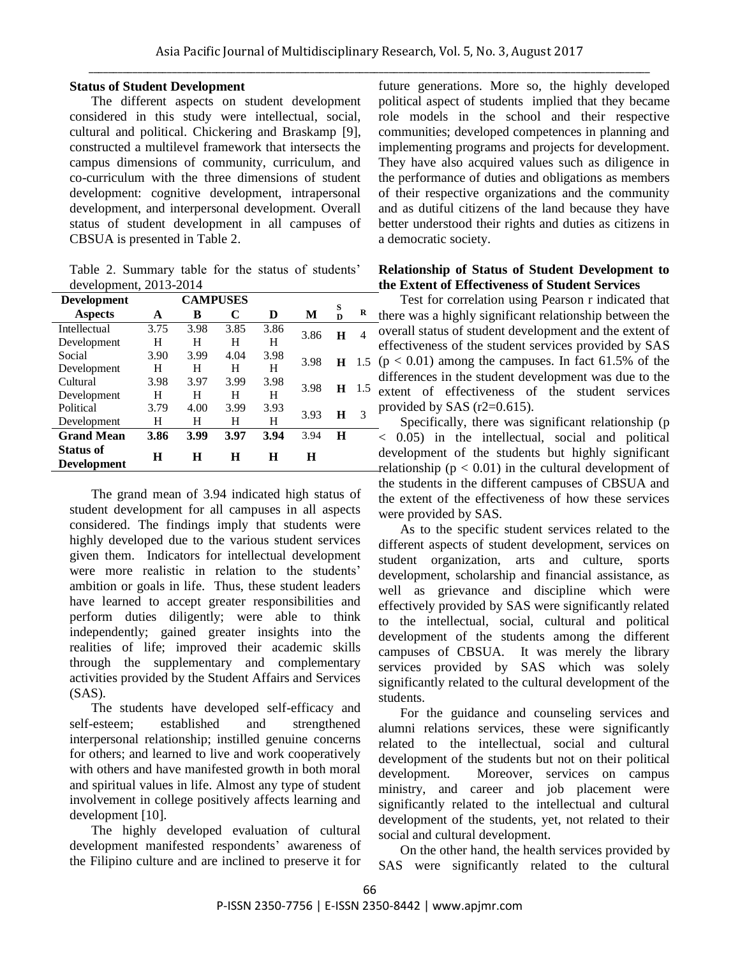## **Status of Student Development**

The different aspects on student development considered in this study were intellectual, social, cultural and political. Chickering and Braskamp [9], constructed a multilevel framework that intersects the campus dimensions of community, curriculum, and co-curriculum with the three dimensions of student development: cognitive development, intrapersonal development, and interpersonal development. Overall status of student development in all campuses of CBSUA is presented in Table 2.

Table 2. Summary table for the status of students' development, 2013-2014

| <b>Development</b>  | <b>CAMPUSES</b> |      |      |      |      |         |      |
|---------------------|-----------------|------|------|------|------|---------|------|
| <b>Aspects</b>      | A               | в    | C    | D    | М    | S<br>D  | R    |
| <b>Intellectual</b> | 3.75            | 3.98 | 3.85 | 3.86 | 3.86 | Н       | 4    |
| Development         | н               | Н    | н    | H    |      |         |      |
| Social              | 3.90            | 3.99 | 4.04 | 3.98 | 3.98 | $\bf H$ | -1.5 |
| Development         | н               | Н    | н    | H    |      |         |      |
| Cultural            | 3.98            | 3.97 | 3.99 | 3.98 |      | н       | 1.5  |
| Development         | н               | Н    | H    | H    | 3.98 |         |      |
| Political           | 3.79            | 4.00 | 3.99 | 3.93 |      |         |      |
| Development         | н               | н    | н    | H    | 3.93 | н       | 3    |
| <b>Grand Mean</b>   | 3.86            | 3.99 | 3.97 | 3.94 | 3.94 | H       |      |
| <b>Status of</b>    | Н               | Н    | Н    | Н    | H    |         |      |
| <b>Development</b>  |                 |      |      |      |      |         |      |

The grand mean of 3.94 indicated high status of student development for all campuses in all aspects considered. The findings imply that students were highly developed due to the various student services given them. Indicators for intellectual development were more realistic in relation to the students' ambition or goals in life. Thus, these student leaders have learned to accept greater responsibilities and perform duties diligently; were able to think independently; gained greater insights into the realities of life; improved their academic skills through the supplementary and complementary activities provided by the Student Affairs and Services  $(SAS)$ .

The students have developed self-efficacy and self-esteem; established and strengthened interpersonal relationship; instilled genuine concerns for others; and learned to live and work cooperatively with others and have manifested growth in both moral and spiritual values in life. Almost any type of student involvement in college positively affects learning and development [10].

The highly developed evaluation of cultural development manifested respondents' awareness of the Filipino culture and are inclined to preserve it for future generations. More so, the highly developed political aspect of students implied that they became role models in the school and their respective communities; developed competences in planning and implementing programs and projects for development. They have also acquired values such as diligence in the performance of duties and obligations as members of their respective organizations and the community and as dutiful citizens of the land because they have better understood their rights and duties as citizens in a democratic society.

### **Relationship of Status of Student Development to the Extent of Effectiveness of Student Services**

Test for correlation using Pearson r indicated that there was a highly significant relationship between the overall status of student development and the extent of effectiveness of the student services provided by SAS  $(p < 0.01)$  among the campuses. In fact 61.5% of the differences in the student development was due to the extent of effectiveness of the student services provided by SAS (r2=0.615).

Specifically, there was significant relationship (p < 0.05) in the intellectual, social and political development of the students but highly significant relationship ( $p < 0.01$ ) in the cultural development of the students in the different campuses of CBSUA and the extent of the effectiveness of how these services were provided by SAS.

As to the specific student services related to the different aspects of student development, services on student organization, arts and culture, sports development, scholarship and financial assistance, as well as grievance and discipline which were effectively provided by SAS were significantly related to the intellectual, social, cultural and political development of the students among the different campuses of CBSUA. It was merely the library services provided by SAS which was solely significantly related to the cultural development of the students.

For the guidance and counseling services and alumni relations services, these were significantly related to the intellectual, social and cultural development of the students but not on their political development. Moreover, services on campus ministry, and career and job placement were significantly related to the intellectual and cultural development of the students, yet, not related to their social and cultural development.

On the other hand, the health services provided by SAS were significantly related to the cultural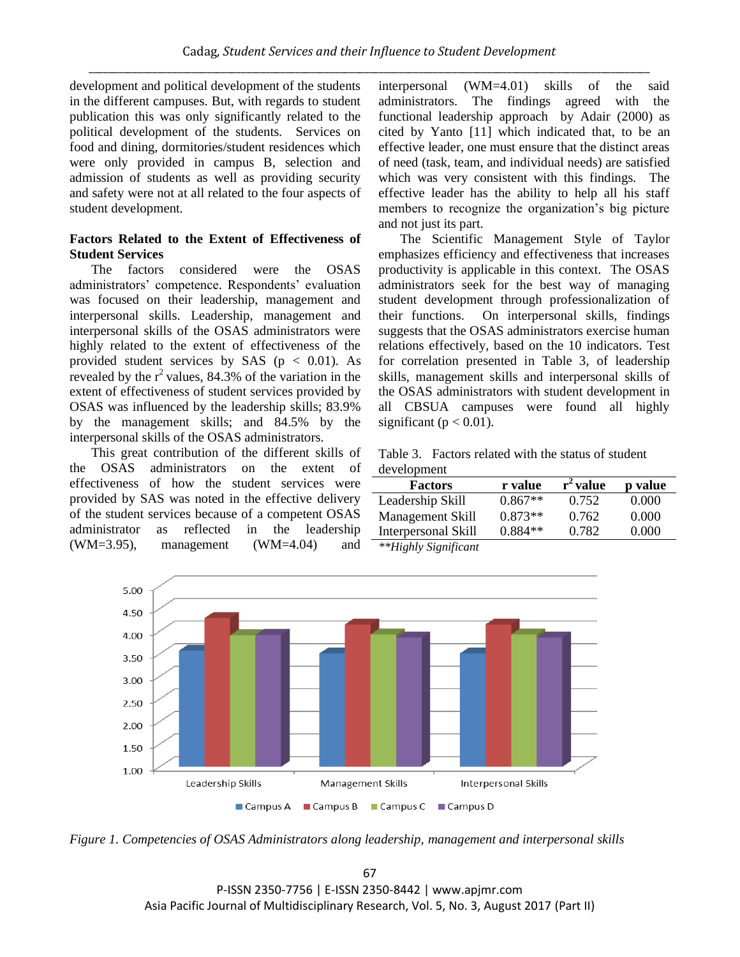development and political development of the students in the different campuses. But, with regards to student publication this was only significantly related to the political development of the students. Services on food and dining, dormitories/student residences which were only provided in campus B, selection and admission of students as well as providing security and safety were not at all related to the four aspects of student development.

## **Factors Related to the Extent of Effectiveness of Student Services**

The factors considered were the OSAS administrators' competence. Respondents' evaluation was focused on their leadership, management and interpersonal skills. Leadership, management and interpersonal skills of the OSAS administrators were highly related to the extent of effectiveness of the provided student services by SAS ( $p < 0.01$ ). As revealed by the  $r^2$  values, 84.3% of the variation in the extent of effectiveness of student services provided by OSAS was influenced by the leadership skills; 83.9% by the management skills; and 84.5% by the interpersonal skills of the OSAS administrators.

This great contribution of the different skills of the OSAS administrators on the extent of effectiveness of how the student services were provided by SAS was noted in the effective delivery of the student services because of a competent OSAS administrator as reflected in the leadership  $(WM=3.95)$ , management  $(WM=4.04)$  and interpersonal (WM=4.01) skills of the said administrators. The findings agreed with the functional leadership approach by Adair (2000) as cited by Yanto [11] which indicated that, to be an effective leader, one must ensure that the distinct areas of need (task, team, and individual needs) are satisfied which was very consistent with this findings. The effective leader has the ability to help all his staff members to recognize the organization's big picture and not just its part.

The Scientific Management Style of Taylor emphasizes efficiency and effectiveness that increases productivity is applicable in this context. The OSAS administrators seek for the best way of managing student development through professionalization of their functions. On interpersonal skills, findings suggests that the OSAS administrators exercise human relations effectively, based on the 10 indicators. Test for correlation presented in Table 3, of leadership skills, management skills and interpersonal skills of the OSAS administrators with student development in all CBSUA campuses were found all highly significant ( $p < 0.01$ ).

Table 3. Factors related with the status of student development

| <b>Factors</b>                                                                              | r value   | $r^2$ value | p value |  |
|---------------------------------------------------------------------------------------------|-----------|-------------|---------|--|
| Leadership Skill                                                                            | $0.867**$ | 0.752       | 0.000   |  |
| Management Skill                                                                            | $0.873**$ | 0.762       | 0.000   |  |
| Interpersonal Skill                                                                         | $0.884**$ | 0.782       | 0.000   |  |
| $A_1, A_2, \mathbf{r}, \mathbf{r}$ , and $\mathbf{r}$ , and $\mathbf{r}$ , and $\mathbf{r}$ |           |             |         |  |

*\*\*Highly Significant* 



*Figure 1. Competencies of OSAS Administrators along leadership, management and interpersonal skills*

67 P-ISSN 2350-7756 | E-ISSN 2350-8442 | www.apjmr.com Asia Pacific Journal of Multidisciplinary Research, Vol. 5, No. 3, August 2017 (Part II)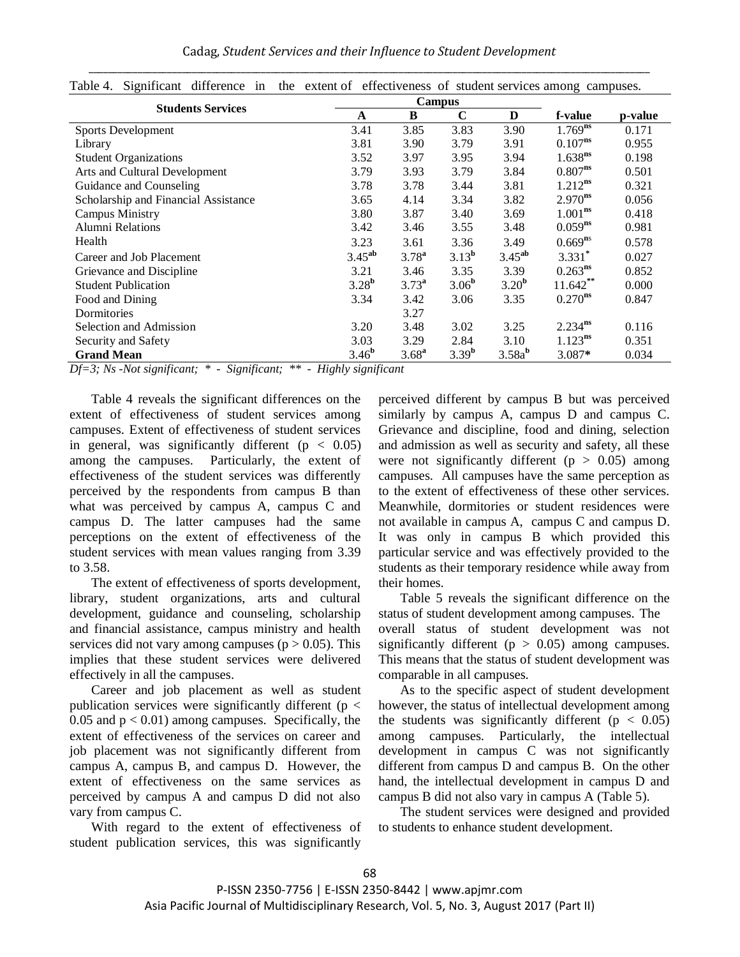Cadag, *Student Services and their Influence to Student Development* \_\_\_\_\_\_\_\_\_\_\_\_\_\_\_\_\_\_\_\_\_\_\_\_\_\_\_\_\_\_\_\_\_\_\_\_\_\_\_\_\_\_\_\_\_\_\_\_\_\_\_\_\_\_\_\_\_\_\_\_\_\_\_\_\_\_\_\_\_\_\_\_\_\_\_\_\_\_\_\_\_\_\_\_\_\_\_\_\_\_\_\_\_\_\_\_\_\_\_\_\_\_\_\_\_\_\_\_\_\_\_\_\_\_

| <b>Students Services</b>                                                                                                                                                                     |                   |                   |                   |                    |              |         |
|----------------------------------------------------------------------------------------------------------------------------------------------------------------------------------------------|-------------------|-------------------|-------------------|--------------------|--------------|---------|
|                                                                                                                                                                                              | A                 | B                 | $\mathbf C$       | D                  | f-value      | p-value |
| <b>Sports Development</b>                                                                                                                                                                    | 3.41              | 3.85              | 3.83              | 3.90               | $1.769^{ns}$ | 0.171   |
| Library                                                                                                                                                                                      | 3.81              | 3.90              | 3.79              | 3.91               | $0.107^{ns}$ | 0.955   |
| <b>Student Organizations</b>                                                                                                                                                                 | 3.52              | 3.97              | 3.95              | 3.94               | $1.638^{ns}$ | 0.198   |
| Arts and Cultural Development                                                                                                                                                                | 3.79              | 3.93              | 3.79              | 3.84               | $0.807^{ns}$ | 0.501   |
| Guidance and Counseling                                                                                                                                                                      | 3.78              | 3.78              | 3.44              | 3.81               | $1.212^{ns}$ | 0.321   |
| Scholarship and Financial Assistance                                                                                                                                                         | 3.65              | 4.14              | 3.34              | 3.82               | $2.970^{ns}$ | 0.056   |
| Campus Ministry                                                                                                                                                                              | 3.80              | 3.87              | 3.40              | 3.69               | $1.001^{ns}$ | 0.418   |
| <b>Alumni Relations</b>                                                                                                                                                                      | 3.42              | 3.46              | 3.55              | 3.48               | $0.059^{ns}$ | 0.981   |
| Health                                                                                                                                                                                       | 3.23              | 3.61              | 3.36              | 3.49               | $0.669^{ns}$ | 0.578   |
| Career and Job Placement                                                                                                                                                                     | $3.45^{ab}$       | $3.78^{a}$        | 3.13 <sup>b</sup> | $3.45^{ab}$        | $3.331*$     | 0.027   |
| Grievance and Discipline                                                                                                                                                                     | 3.21              | 3.46              | 3.35              | 3.39               | $0.263^{ns}$ | 0.852   |
| <b>Student Publication</b>                                                                                                                                                                   | 3.28 <sup>b</sup> | 3.73 <sup>a</sup> | 3.06 <sup>b</sup> | 3.20 <sup>b</sup>  | $11.642**$   | 0.000   |
| Food and Dining                                                                                                                                                                              | 3.34              | 3.42              | 3.06              | 3.35               | $0.270^{ns}$ | 0.847   |
| Dormitories                                                                                                                                                                                  |                   | 3.27              |                   |                    |              |         |
| Selection and Admission                                                                                                                                                                      | 3.20              | 3.48              | 3.02              | 3.25               | $2.234^{ns}$ | 0.116   |
| Security and Safety                                                                                                                                                                          | 3.03              | 3.29              | 2.84              | 3.10               | $1.123^{ns}$ | 0.351   |
| <b>Grand Mean</b><br>$\cdot$ $\sim$<br>$\cdot$ $\sim$<br>$\sim$<br>$T$ $T$ $T$ $T$<br>$\mathbf{r}$ $\mathbf{r}$ $\mathbf{r}$ $\mathbf{r}$ $\mathbf{r}$ $\mathbf{r}$<br>$\mathbf{A}$<br>11.11 | 3.46 <sup>b</sup> | 3.68 <sup>a</sup> | $3.39^{b}$        | 3.58a <sup>b</sup> | 3.087*       | 0.034   |

| Table 4. Significant difference in the extent of effectiveness of student services among campuses. |  |
|----------------------------------------------------------------------------------------------------|--|
|----------------------------------------------------------------------------------------------------|--|

*Df=3; Ns -Not significant; \* - Significant; \*\* - Highly significant*

Table 4 reveals the significant differences on the extent of effectiveness of student services among campuses. Extent of effectiveness of student services in general, was significantly different ( $p < 0.05$ ) among the campuses. Particularly, the extent of effectiveness of the student services was differently perceived by the respondents from campus B than what was perceived by campus A, campus C and campus D. The latter campuses had the same perceptions on the extent of effectiveness of the student services with mean values ranging from 3.39 to 3.58.

The extent of effectiveness of sports development, library, student organizations, arts and cultural development, guidance and counseling, scholarship and financial assistance, campus ministry and health services did not vary among campuses ( $p > 0.05$ ). This implies that these student services were delivered effectively in all the campuses.

Career and job placement as well as student publication services were significantly different ( $p <$ 0.05 and  $p < 0.01$ ) among campuses. Specifically, the extent of effectiveness of the services on career and job placement was not significantly different from campus A, campus B, and campus D. However, the extent of effectiveness on the same services as perceived by campus A and campus D did not also vary from campus C.

With regard to the extent of effectiveness of student publication services, this was significantly perceived different by campus B but was perceived similarly by campus A, campus D and campus C. Grievance and discipline, food and dining, selection and admission as well as security and safety, all these were not significantly different ( $p > 0.05$ ) among campuses. All campuses have the same perception as to the extent of effectiveness of these other services. Meanwhile, dormitories or student residences were not available in campus A, campus C and campus D. It was only in campus B which provided this particular service and was effectively provided to the students as their temporary residence while away from their homes.

Table 5 reveals the significant difference on the status of student development among campuses. The overall status of student development was not significantly different ( $p > 0.05$ ) among campuses. This means that the status of student development was comparable in all campuses.

As to the specific aspect of student development however, the status of intellectual development among the students was significantly different ( $p < 0.05$ ) among campuses. Particularly, the intellectual development in campus C was not significantly different from campus D and campus B. On the other hand, the intellectual development in campus D and campus B did not also vary in campus A (Table 5).

The student services were designed and provided to students to enhance student development.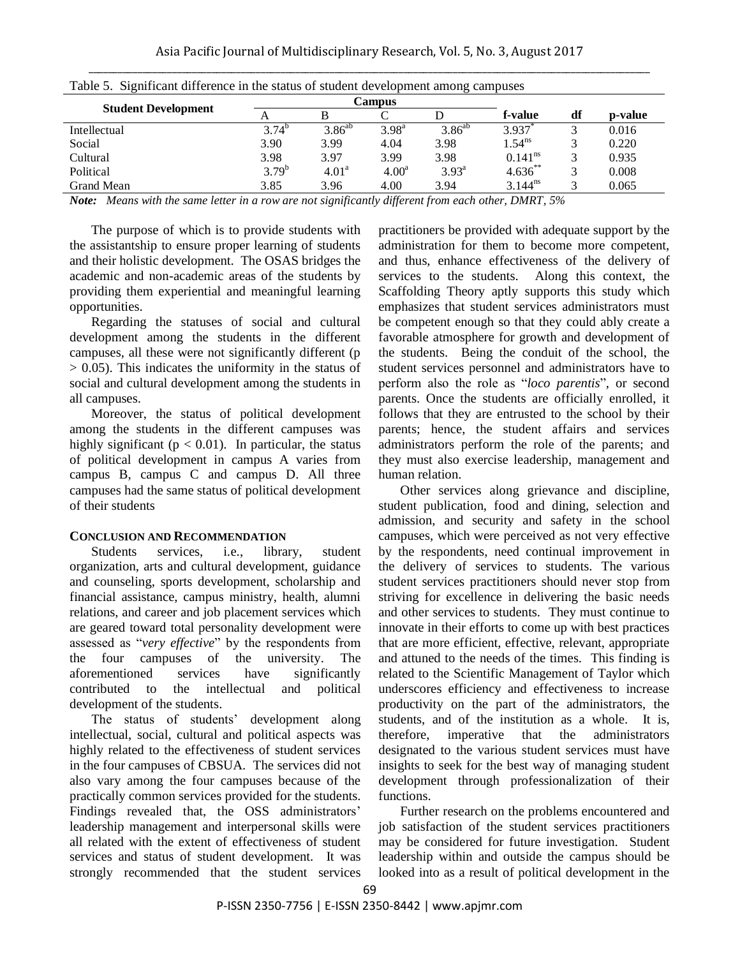| Table 5. Significant difference in the status of student development among campuses |            |                   |                   |                |                       |    |         |  |
|-------------------------------------------------------------------------------------|------------|-------------------|-------------------|----------------|-----------------------|----|---------|--|
|                                                                                     |            | Campus            |                   |                |                       |    |         |  |
| <b>Student Development</b>                                                          |            |                   |                   |                | f-value               | df | p-value |  |
| Intellectual                                                                        | $3.74^{b}$ | $3.86^{ab}$       | $3.98^{a}$        | $3.86^{ab}$    | 3.937                 |    | 0.016   |  |
| Social                                                                              | 3.90       | 3.99              | 4.04              | 3.98           | $1.54^{ns}$           |    | 0.220   |  |
| Cultural                                                                            | 3.98       | 3.97              | 3.99              | 3.98           | $0.141$ <sup>ns</sup> |    | 0.935   |  |
| Political                                                                           | $3.79^{b}$ | 4.01 <sup>a</sup> | 4.00 <sup>a</sup> | $3.93^{\rm a}$ | $4.636***$            |    | 0.008   |  |
| Grand Mean                                                                          | 3.85       | 3.96              | 4.00              | 3.94           | $3.144^{ns}$          |    | 0.065   |  |

|  |  | Table 5. Significant difference in the status of student development among campuses |  |
|--|--|-------------------------------------------------------------------------------------|--|
|  |  |                                                                                     |  |
|  |  |                                                                                     |  |

*Note: Means with the same letter in a row are not significantly different from each other, DMRT, 5%*

The purpose of which is to provide students with the assistantship to ensure proper learning of students and their holistic development. The OSAS bridges the academic and non-academic areas of the students by providing them experiential and meaningful learning opportunities.

Regarding the statuses of social and cultural development among the students in the different campuses, all these were not significantly different (p > 0.05). This indicates the uniformity in the status of social and cultural development among the students in all campuses.

Moreover, the status of political development among the students in the different campuses was highly significant ( $p < 0.01$ ). In particular, the status of political development in campus A varies from campus B, campus C and campus D. All three campuses had the same status of political development of their students

#### **CONCLUSION AND RECOMMENDATION**

Students services, i.e., library, student organization, arts and cultural development, guidance and counseling, sports development, scholarship and financial assistance, campus ministry, health, alumni relations, and career and job placement services which are geared toward total personality development were assessed as "*very effective*" by the respondents from the four campuses of the university. The aforementioned services have significantly contributed to the intellectual and political development of the students.

The status of students' development along intellectual, social, cultural and political aspects was highly related to the effectiveness of student services in the four campuses of CBSUA. The services did not also vary among the four campuses because of the practically common services provided for the students. Findings revealed that, the OSS administrators' leadership management and interpersonal skills were all related with the extent of effectiveness of student services and status of student development. It was strongly recommended that the student services practitioners be provided with adequate support by the administration for them to become more competent, and thus, enhance effectiveness of the delivery of services to the students. Along this context, the Scaffolding Theory aptly supports this study which emphasizes that student services administrators must be competent enough so that they could ably create a favorable atmosphere for growth and development of the students. Being the conduit of the school, the student services personnel and administrators have to perform also the role as "*loco parentis*", or second parents. Once the students are officially enrolled, it follows that they are entrusted to the school by their parents; hence, the student affairs and services administrators perform the role of the parents; and they must also exercise leadership, management and human relation.

Other services along grievance and discipline, student publication, food and dining, selection and admission, and security and safety in the school campuses, which were perceived as not very effective by the respondents, need continual improvement in the delivery of services to students. The various student services practitioners should never stop from striving for excellence in delivering the basic needs and other services to students. They must continue to innovate in their efforts to come up with best practices that are more efficient, effective, relevant, appropriate and attuned to the needs of the times. This finding is related to the Scientific Management of Taylor which underscores efficiency and effectiveness to increase productivity on the part of the administrators, the students, and of the institution as a whole. It is, therefore, imperative that the administrators designated to the various student services must have insights to seek for the best way of managing student development through professionalization of their functions.

Further research on the problems encountered and job satisfaction of the student services practitioners may be considered for future investigation. Student leadership within and outside the campus should be looked into as a result of political development in the